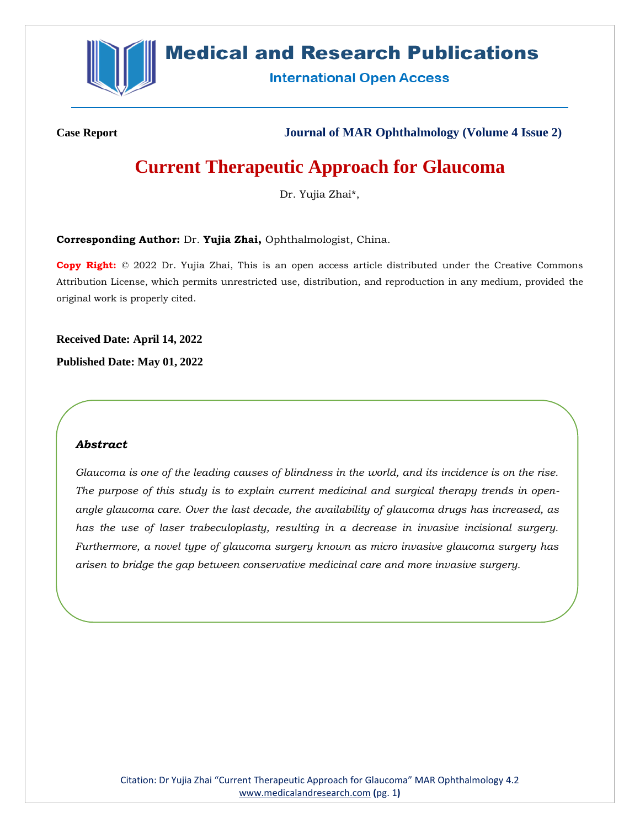

## **Medical and Research Publications**

**International Open Access** 

**Case Report Journal of MAR Ophthalmology (Volume 4 Issue 2)**

# **Current Therapeutic Approach for Glaucoma**

Dr. Yujia Zhai\*,

**Corresponding Author:** Dr. **Yujia Zhai,** Ophthalmologist, China.

**Copy Right:** © 2022 Dr. Yujia Zhai, This is an open access article distributed under the Creative Commons Attribution License, which permits unrestricted use, distribution, and reproduction in any medium, provided the original work is properly cited.

**Received Date: April 14, 2022**

**Published Date: May 01, 2022**

## *Abstract*

*Glaucoma is one of the leading causes of blindness in the world, and its incidence is on the rise. The purpose of this study is to explain current medicinal and surgical therapy trends in openangle glaucoma care. Over the last decade, the availability of glaucoma drugs has increased, as has the use of laser trabeculoplasty, resulting in a decrease in invasive incisional surgery. Furthermore, a novel type of glaucoma surgery known as micro invasive glaucoma surgery has arisen to bridge the gap between conservative medicinal care and more invasive surgery.*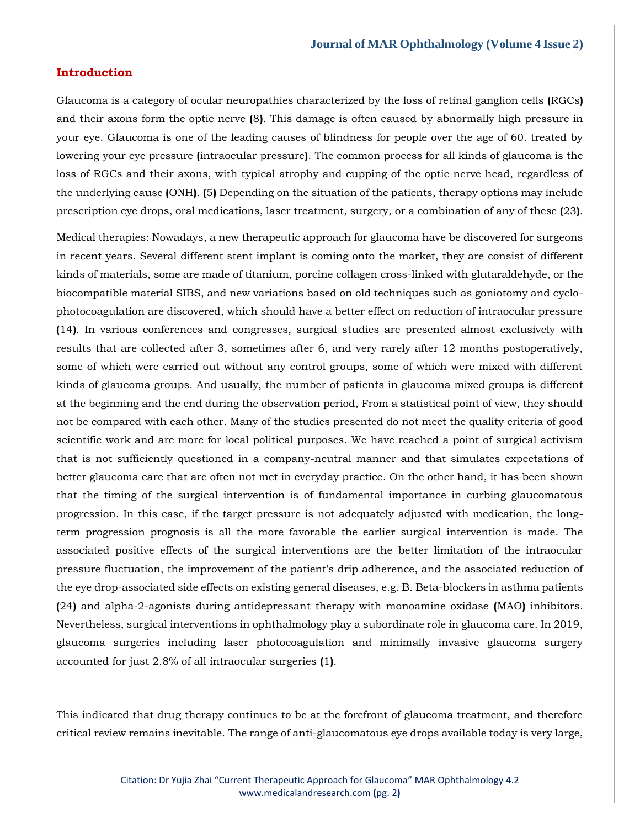## **Introduction**

Glaucoma is a category of ocular neuropathies characterized by the loss of retinal ganglion cells **(**RGCs**)** and their axons form the optic nerve **(**8**)**. This damage is often caused by abnormally high pressure in your eye. Glaucoma is one of the leading causes of blindness for people over the age of 60. treated by lowering your eye pressure **(**intraocular pressure**)**. The common process for all kinds of glaucoma is the loss of RGCs and their axons, with typical atrophy and cupping of the optic nerve head, regardless of the underlying cause **(**ONH**)**. **(**5**)** Depending on the situation of the patients, therapy options may include prescription eye drops, oral medications, laser treatment, surgery, or a combination of any of these **(**23**)**.

Medical therapies: Nowadays, a new therapeutic approach for glaucoma have be discovered for surgeons in recent years. Several different stent implant is coming onto the market, they are consist of different kinds of materials, some are made of titanium, porcine collagen cross-linked with glutaraldehyde, or the biocompatible material SIBS, and new variations based on old techniques such as goniotomy and cyclophotocoagulation are discovered, which should have a better effect on reduction of intraocular pressure **(**14**)**. In various conferences and congresses, surgical studies are presented almost exclusively with results that are collected after 3, sometimes after 6, and very rarely after 12 months postoperatively, some of which were carried out without any control groups, some of which were mixed with different kinds of glaucoma groups. And usually, the number of patients in glaucoma mixed groups is different at the beginning and the end during the observation period, From a statistical point of view, they should not be compared with each other. Many of the studies presented do not meet the quality criteria of good scientific work and are more for local political purposes. We have reached a point of surgical activism that is not sufficiently questioned in a company-neutral manner and that simulates expectations of better glaucoma care that are often not met in everyday practice. On the other hand, it has been shown that the timing of the surgical intervention is of fundamental importance in curbing glaucomatous progression. In this case, if the target pressure is not adequately adjusted with medication, the longterm progression prognosis is all the more favorable the earlier surgical intervention is made. The associated positive effects of the surgical interventions are the better limitation of the intraocular pressure fluctuation, the improvement of the patient's drip adherence, and the associated reduction of the eye drop-associated side effects on existing general diseases, e.g. B. Beta-blockers in asthma patients **(**24**)** and alpha-2-agonists during antidepressant therapy with monoamine oxidase **(**MAO**)** inhibitors. Nevertheless, surgical interventions in ophthalmology play a subordinate role in glaucoma care. In 2019, glaucoma surgeries including laser photocoagulation and minimally invasive glaucoma surgery accounted for just 2.8% of all intraocular surgeries **(**1**)**.

This indicated that drug therapy continues to be at the forefront of glaucoma treatment, and therefore critical review remains inevitable. The range of anti-glaucomatous eye drops available today is very large,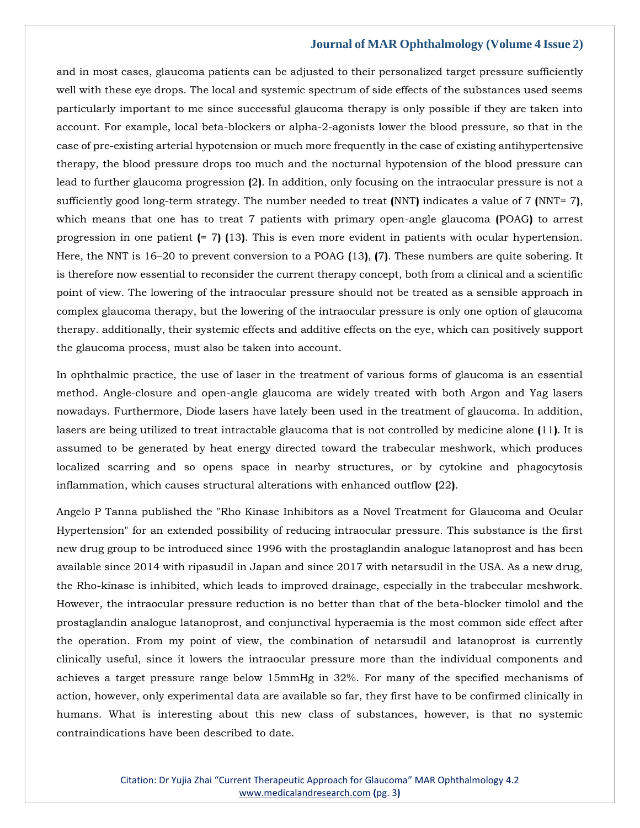and in most cases, glaucoma patients can be adjusted to their personalized target pressure sufficiently well with these eye drops. The local and systemic spectrum of side effects of the substances used seems particularly important to me since successful glaucoma therapy is only possible if they are taken into account. For example, local beta-blockers or alpha-2-agonists lower the blood pressure, so that in the case of pre-existing arterial hypotension or much more frequently in the case of existing antihypertensive therapy, the blood pressure drops too much and the nocturnal hypotension of the blood pressure can lead to further glaucoma progression **(**2**)**. In addition, only focusing on the intraocular pressure is not a sufficiently good long-term strategy. The number needed to treat **(**NNT**)** indicates a value of 7 **(**NNT= 7**)**, which means that one has to treat 7 patients with primary open-angle glaucoma **(**POAG**)** to arrest progression in one patient **(**= 7**) (**13**)**. This is even more evident in patients with ocular hypertension. Here, the NNT is 16–20 to prevent conversion to a POAG **(**13**)**, **(**7**)**. These numbers are quite sobering. It is therefore now essential to reconsider the current therapy concept, both from a clinical and a scientific point of view. The lowering of the intraocular pressure should not be treated as a sensible approach in complex glaucoma therapy, but the lowering of the intraocular pressure is only one option of glaucoma therapy. additionally, their systemic effects and additive effects on the eye, which can positively support the glaucoma process, must also be taken into account.

In ophthalmic practice, the use of laser in the treatment of various forms of glaucoma is an essential method. Angle-closure and open-angle glaucoma are widely treated with both Argon and Yag lasers nowadays. Furthermore, Diode lasers have lately been used in the treatment of glaucoma. In addition, lasers are being utilized to treat intractable glaucoma that is not controlled by medicine alone **(**11**)**. It is assumed to be generated by heat energy directed toward the trabecular meshwork, which produces localized scarring and so opens space in nearby structures, or by cytokine and phagocytosis inflammation, which causes structural alterations with enhanced outflow **(**22**)**.

Angelo P Tanna published the "Rho Kinase Inhibitors as a Novel Treatment for Glaucoma and Ocular Hypertension" for an extended possibility of reducing intraocular pressure. This substance is the first new drug group to be introduced since 1996 with the prostaglandin analogue latanoprost and has been available since 2014 with ripasudil in Japan and since 2017 with netarsudil in the USA. As a new drug, the Rho-kinase is inhibited, which leads to improved drainage, especially in the trabecular meshwork. However, the intraocular pressure reduction is no better than that of the beta-blocker timolol and the prostaglandin analogue latanoprost, and conjunctival hyperaemia is the most common side effect after the operation. From my point of view, the combination of netarsudil and latanoprost is currently clinically useful, since it lowers the intraocular pressure more than the individual components and achieves a target pressure range below 15mmHg in 32%. For many of the specified mechanisms of action, however, only experimental data are available so far, they first have to be confirmed clinically in humans. What is interesting about this new class of substances, however, is that no systemic contraindications have been described to date.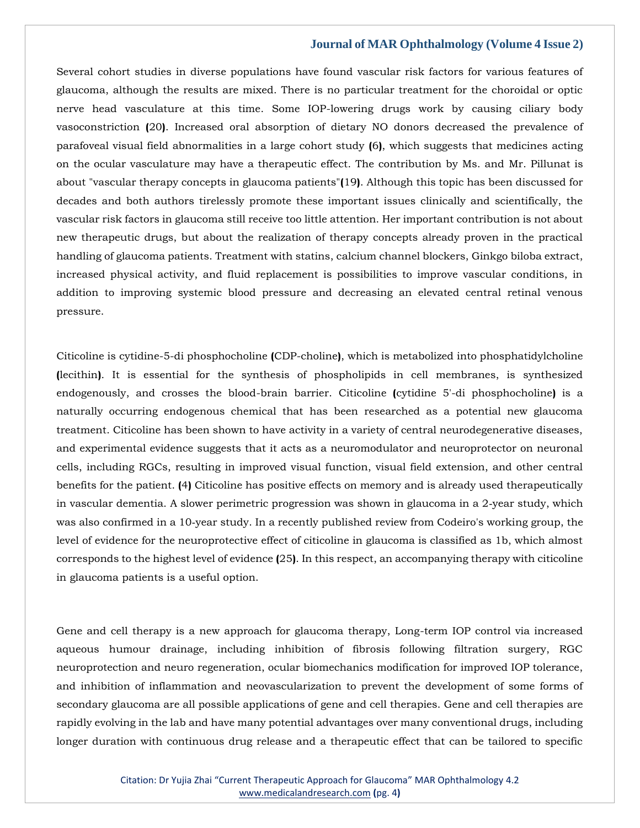Several cohort studies in diverse populations have found vascular risk factors for various features of glaucoma, although the results are mixed. There is no particular treatment for the choroidal or optic nerve head vasculature at this time. Some IOP-lowering drugs work by causing ciliary body vasoconstriction **(**20**)**. Increased oral absorption of dietary NO donors decreased the prevalence of parafoveal visual field abnormalities in a large cohort study **(**6**)**, which suggests that medicines acting on the ocular vasculature may have a therapeutic effect. The contribution by Ms. and Mr. Pillunat is about "vascular therapy concepts in glaucoma patients"**(**19**)**. Although this topic has been discussed for decades and both authors tirelessly promote these important issues clinically and scientifically, the vascular risk factors in glaucoma still receive too little attention. Her important contribution is not about new therapeutic drugs, but about the realization of therapy concepts already proven in the practical handling of glaucoma patients. Treatment with statins, calcium channel blockers, Ginkgo biloba extract, increased physical activity, and fluid replacement is possibilities to improve vascular conditions, in addition to improving systemic blood pressure and decreasing an elevated central retinal venous pressure.

Citicoline is cytidine-5-di phosphocholine **(**CDP-choline**)**, which is metabolized into phosphatidylcholine **(**lecithin**)**. It is essential for the synthesis of phospholipids in cell membranes, is synthesized endogenously, and crosses the blood-brain barrier. Citicoline **(**cytidine 5'-di phosphocholine**)** is a naturally occurring endogenous chemical that has been researched as a potential new glaucoma treatment. Citicoline has been shown to have activity in a variety of central neurodegenerative diseases, and experimental evidence suggests that it acts as a neuromodulator and neuroprotector on neuronal cells, including RGCs, resulting in improved visual function, visual field extension, and other central benefits for the patient. **(**4**)** Citicoline has positive effects on memory and is already used therapeutically in vascular dementia. A slower perimetric progression was shown in glaucoma in a 2‑year study, which was also confirmed in a 10‑year study. In a recently published review from Codeiro's working group, the level of evidence for the neuroprotective effect of citicoline in glaucoma is classified as 1b, which almost corresponds to the highest level of evidence **(**25**)**. In this respect, an accompanying therapy with citicoline in glaucoma patients is a useful option.

Gene and cell therapy is a new approach for glaucoma therapy, Long-term IOP control via increased aqueous humour drainage, including inhibition of fibrosis following filtration surgery, RGC neuroprotection and neuro regeneration, ocular biomechanics modification for improved IOP tolerance, and inhibition of inflammation and neovascularization to prevent the development of some forms of secondary glaucoma are all possible applications of gene and cell therapies. Gene and cell therapies are rapidly evolving in the lab and have many potential advantages over many conventional drugs, including longer duration with continuous drug release and a therapeutic effect that can be tailored to specific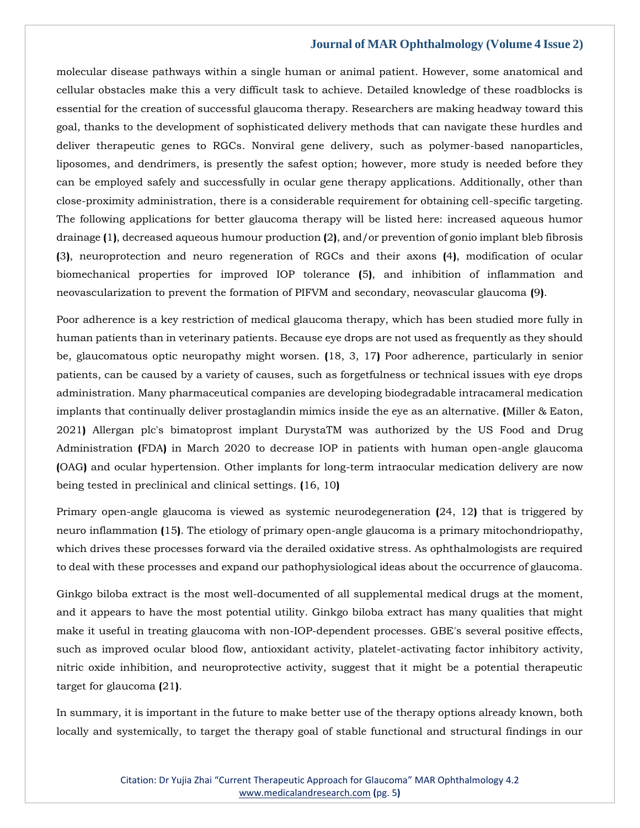molecular disease pathways within a single human or animal patient. However, some anatomical and cellular obstacles make this a very difficult task to achieve. Detailed knowledge of these roadblocks is essential for the creation of successful glaucoma therapy. Researchers are making headway toward this goal, thanks to the development of sophisticated delivery methods that can navigate these hurdles and deliver therapeutic genes to RGCs. Nonviral gene delivery, such as polymer-based nanoparticles, liposomes, and dendrimers, is presently the safest option; however, more study is needed before they can be employed safely and successfully in ocular gene therapy applications. Additionally, other than close-proximity administration, there is a considerable requirement for obtaining cell-specific targeting. The following applications for better glaucoma therapy will be listed here: increased aqueous humor drainage **(**1**)**, decreased aqueous humour production **(**2**)**, and/or prevention of gonio implant bleb fibrosis **(**3**)**, neuroprotection and neuro regeneration of RGCs and their axons **(**4**)**, modification of ocular biomechanical properties for improved IOP tolerance **(**5**)**, and inhibition of inflammation and neovascularization to prevent the formation of PIFVM and secondary, neovascular glaucoma **(**9**)**.

Poor adherence is a key restriction of medical glaucoma therapy, which has been studied more fully in human patients than in veterinary patients. Because eye drops are not used as frequently as they should be, glaucomatous optic neuropathy might worsen. **(**18, 3, 17**)** Poor adherence, particularly in senior patients, can be caused by a variety of causes, such as forgetfulness or technical issues with eye drops administration. Many pharmaceutical companies are developing biodegradable intracameral medication implants that continually deliver prostaglandin mimics inside the eye as an alternative. **(**Miller & Eaton, 2021**)** Allergan plc's bimatoprost implant DurystaTM was authorized by the US Food and Drug Administration **(**FDA**)** in March 2020 to decrease IOP in patients with human open-angle glaucoma **(**OAG**)** and ocular hypertension. Other implants for long-term intraocular medication delivery are now being tested in preclinical and clinical settings. **(**16, 10**)**

Primary open-angle glaucoma is viewed as systemic neurodegeneration **(**24, 12**)** that is triggered by neuro inflammation **(**15**)**. The etiology of primary open-angle glaucoma is a primary mitochondriopathy, which drives these processes forward via the derailed oxidative stress. As ophthalmologists are required to deal with these processes and expand our pathophysiological ideas about the occurrence of glaucoma.

Ginkgo biloba extract is the most well-documented of all supplemental medical drugs at the moment, and it appears to have the most potential utility. Ginkgo biloba extract has many qualities that might make it useful in treating glaucoma with non-IOP-dependent processes. GBE's several positive effects, such as improved ocular blood flow, antioxidant activity, platelet-activating factor inhibitory activity, nitric oxide inhibition, and neuroprotective activity, suggest that it might be a potential therapeutic target for glaucoma **(**21**)**.

In summary, it is important in the future to make better use of the therapy options already known, both locally and systemically, to target the therapy goal of stable functional and structural findings in our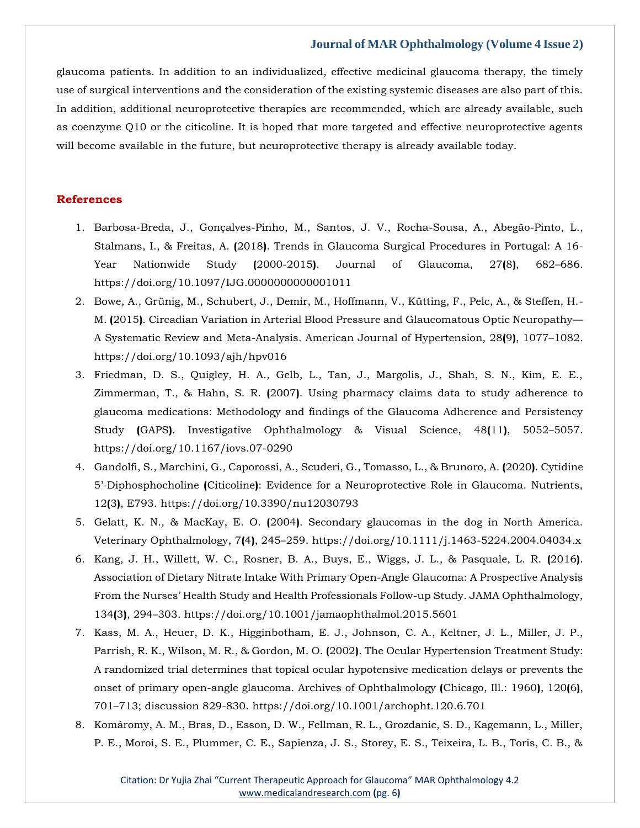glaucoma patients. In addition to an individualized, effective medicinal glaucoma therapy, the timely use of surgical interventions and the consideration of the existing systemic diseases are also part of this. In addition, additional neuroprotective therapies are recommended, which are already available, such as coenzyme Q10 or the citicoline. It is hoped that more targeted and effective neuroprotective agents will become available in the future, but neuroprotective therapy is already available today.

## **References**

- 1. Barbosa-Breda, J., Gonçalves-Pinho, M., Santos, J. V., Rocha-Sousa, A., Abegão-Pinto, L., Stalmans, I., & Freitas, A. **(**2018**)**. Trends in Glaucoma Surgical Procedures in Portugal: A 16- Year Nationwide Study **(**2000-2015**)**. Journal of Glaucoma, 27**(**8**)**, 682–686. https://doi.org/10.1097/IJG.0000000000001011
- 2. Bowe, A., Grünig, M., Schubert, J., Demir, M., Hoffmann, V., Kütting, F., Pelc, A., & Steffen, H.- M. **(**2015**)**. Circadian Variation in Arterial Blood Pressure and Glaucomatous Optic Neuropathy— A Systematic Review and Meta-Analysis. American Journal of Hypertension, 28**(**9**)**, 1077–1082. https://doi.org/10.1093/ajh/hpv016
- 3. Friedman, D. S., Quigley, H. A., Gelb, L., Tan, J., Margolis, J., Shah, S. N., Kim, E. E., Zimmerman, T., & Hahn, S. R. **(**2007**)**. Using pharmacy claims data to study adherence to glaucoma medications: Methodology and findings of the Glaucoma Adherence and Persistency Study **(**GAPS**)**. Investigative Ophthalmology & Visual Science, 48**(**11**)**, 5052–5057. https://doi.org/10.1167/iovs.07-0290
- 4. Gandolfi, S., Marchini, G., Caporossi, A., Scuderi, G., Tomasso, L., & Brunoro, A. **(**2020**)**. Cytidine 5'-Diphosphocholine **(**Citicoline**)**: Evidence for a Neuroprotective Role in Glaucoma. Nutrients, 12**(**3**)**, E793. https://doi.org/10.3390/nu12030793
- 5. Gelatt, K. N., & MacKay, E. O. **(**2004**)**. Secondary glaucomas in the dog in North America. Veterinary Ophthalmology, 7**(**4**)**, 245–259. https://doi.org/10.1111/j.1463-5224.2004.04034.x
- 6. Kang, J. H., Willett, W. C., Rosner, B. A., Buys, E., Wiggs, J. L., & Pasquale, L. R. **(**2016**)**. Association of Dietary Nitrate Intake With Primary Open-Angle Glaucoma: A Prospective Analysis From the Nurses' Health Study and Health Professionals Follow-up Study. JAMA Ophthalmology, 134**(**3**)**, 294–303. https://doi.org/10.1001/jamaophthalmol.2015.5601
- 7. Kass, M. A., Heuer, D. K., Higginbotham, E. J., Johnson, C. A., Keltner, J. L., Miller, J. P., Parrish, R. K., Wilson, M. R., & Gordon, M. O. **(**2002**)**. The Ocular Hypertension Treatment Study: A randomized trial determines that topical ocular hypotensive medication delays or prevents the onset of primary open-angle glaucoma. Archives of Ophthalmology **(**Chicago, Ill.: 1960**)**, 120**(**6**)**, 701–713; discussion 829-830. https://doi.org/10.1001/archopht.120.6.701
- 8. Komáromy, A. M., Bras, D., Esson, D. W., Fellman, R. L., Grozdanic, S. D., Kagemann, L., Miller, P. E., Moroi, S. E., Plummer, C. E., Sapienza, J. S., Storey, E. S., Teixeira, L. B., Toris, C. B., &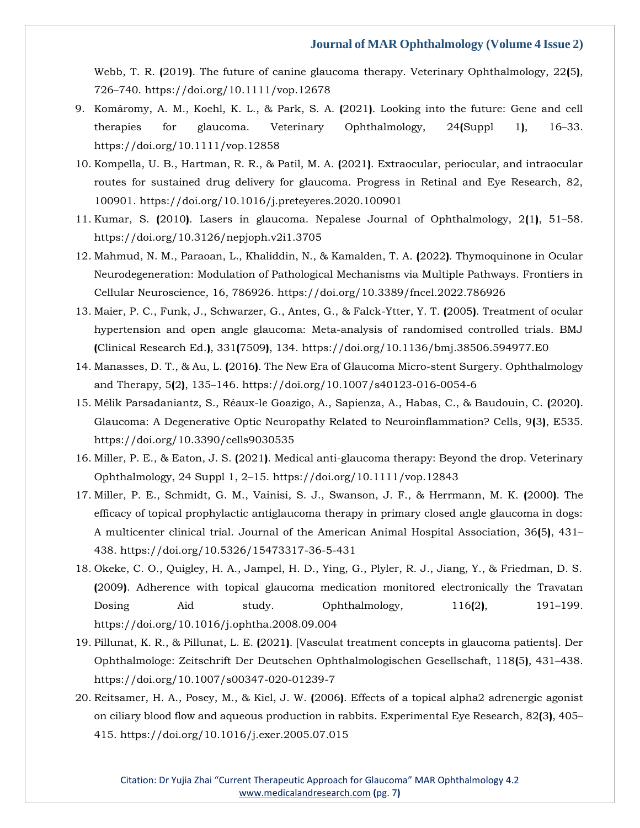Webb, T. R. **(**2019**)**. The future of canine glaucoma therapy. Veterinary Ophthalmology, 22**(**5**)**, 726–740. https://doi.org/10.1111/vop.12678

- 9. Komáromy, A. M., Koehl, K. L., & Park, S. A. **(**2021**)**. Looking into the future: Gene and cell therapies for glaucoma. Veterinary Ophthalmology, 24**(**Suppl 1**)**, 16–33. https://doi.org/10.1111/vop.12858
- 10. Kompella, U. B., Hartman, R. R., & Patil, M. A. **(**2021**)**. Extraocular, periocular, and intraocular routes for sustained drug delivery for glaucoma. Progress in Retinal and Eye Research, 82, 100901. https://doi.org/10.1016/j.preteyeres.2020.100901
- 11. Kumar, S. **(**2010**)**. Lasers in glaucoma. Nepalese Journal of Ophthalmology, 2**(**1**)**, 51–58. https://doi.org/10.3126/nepjoph.v2i1.3705
- 12. Mahmud, N. M., Paraoan, L., Khaliddin, N., & Kamalden, T. A. **(**2022**)**. Thymoquinone in Ocular Neurodegeneration: Modulation of Pathological Mechanisms via Multiple Pathways. Frontiers in Cellular Neuroscience, 16, 786926. https://doi.org/10.3389/fncel.2022.786926
- 13. Maier, P. C., Funk, J., Schwarzer, G., Antes, G., & Falck-Ytter, Y. T. **(**2005**)**. Treatment of ocular hypertension and open angle glaucoma: Meta-analysis of randomised controlled trials. BMJ **(**Clinical Research Ed.**)**, 331**(**7509**)**, 134. https://doi.org/10.1136/bmj.38506.594977.E0
- 14. Manasses, D. T., & Au, L. **(**2016**)**. The New Era of Glaucoma Micro-stent Surgery. Ophthalmology and Therapy, 5**(**2**)**, 135–146. https://doi.org/10.1007/s40123-016-0054-6
- 15. Mélik Parsadaniantz, S., Réaux-le Goazigo, A., Sapienza, A., Habas, C., & Baudouin, C. **(**2020**)**. Glaucoma: A Degenerative Optic Neuropathy Related to Neuroinflammation? Cells, 9**(**3**)**, E535. https://doi.org/10.3390/cells9030535
- 16. Miller, P. E., & Eaton, J. S. **(**2021**)**. Medical anti-glaucoma therapy: Beyond the drop. Veterinary Ophthalmology, 24 Suppl 1, 2–15. https://doi.org/10.1111/vop.12843
- 17. Miller, P. E., Schmidt, G. M., Vainisi, S. J., Swanson, J. F., & Herrmann, M. K. **(**2000**)**. The efficacy of topical prophylactic antiglaucoma therapy in primary closed angle glaucoma in dogs: A multicenter clinical trial. Journal of the American Animal Hospital Association, 36**(**5**)**, 431– 438. https://doi.org/10.5326/15473317-36-5-431
- 18. Okeke, C. O., Quigley, H. A., Jampel, H. D., Ying, G., Plyler, R. J., Jiang, Y., & Friedman, D. S. **(**2009**)**. Adherence with topical glaucoma medication monitored electronically the Travatan Dosing Aid study. Ophthalmology, 116**(**2**)**, 191–199. https://doi.org/10.1016/j.ophtha.2008.09.004
- 19. Pillunat, K. R., & Pillunat, L. E. **(**2021**)**. [Vasculat treatment concepts in glaucoma patients]. Der Ophthalmologe: Zeitschrift Der Deutschen Ophthalmologischen Gesellschaft, 118**(**5**)**, 431–438. https://doi.org/10.1007/s00347-020-01239-7
- 20. Reitsamer, H. A., Posey, M., & Kiel, J. W. **(**2006**)**. Effects of a topical alpha2 adrenergic agonist on ciliary blood flow and aqueous production in rabbits. Experimental Eye Research, 82**(**3**)**, 405– 415. https://doi.org/10.1016/j.exer.2005.07.015